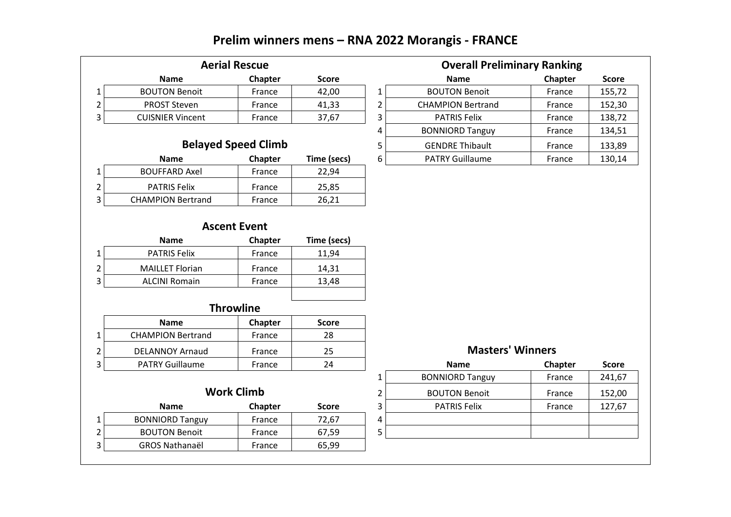# **Prelim winners mens – RNA 2022 Morangis - FRANCE**

| <b>Aerial Rescue</b>    |         |              |        | <b>Overall Preliminary Ranking</b> |                |        |
|-------------------------|---------|--------------|--------|------------------------------------|----------------|--------|
| <b>Name</b>             | Chapter | <b>Score</b> |        | <b>Name</b>                        | <b>Chapter</b> | Score  |
| <b>BOUTON Benoit</b>    | France  | 42,00        |        | <b>BOUTON Benoit</b>               | France         | 155,72 |
| PROST Steven            | France  | 41,33        | ∽      | <b>CHAMPION Bertrand</b>           | France         | 152,30 |
| <b>CUISNIER Vincent</b> | France  | 37,67        | ∽<br>э | <b>PATRIS Felix</b>                | France         | 138,72 |

| <b>Aerial Rescue</b>       |                |              |   | <b>Overall Preliminary Ranking</b> |         |              |  |
|----------------------------|----------------|--------------|---|------------------------------------|---------|--------------|--|
| <b>Name</b>                | Chapter        | <b>Score</b> |   | <b>Name</b>                        | Chapter | <b>Score</b> |  |
| TON Benoit                 | France         | 42,00        |   | <b>BOUTON Benoit</b>               | France  | 155,72       |  |
| ST Steven                  | France         | 41,33        |   | <b>CHAMPION Bertrand</b>           | France  | 152,30       |  |
| <b>IIER Vincent</b>        | France         | 37,67        |   | <b>PATRIS Felix</b>                | France  | 138,72       |  |
|                            |                |              |   | <b>BONNIORD Tanguy</b>             | France  | 134,51       |  |
| <b>Belayed Speed Climb</b> |                |              |   | <b>GENDRE Thibault</b>             | France  | 133,89       |  |
| <b>Name</b>                | <b>Chapter</b> | Time (secs)  | 6 | <b>PATRY Guillaume</b>             | France  | 130,14       |  |

## **Belayed Speed Climb**

| <b>Name</b>              | <b>Chapter</b> | Time (secs) |
|--------------------------|----------------|-------------|
| <b>BOUFFARD Axel</b>     | France         | 22.94       |
| <b>PATRIS Felix</b>      | France         | 25,85       |
| <b>CHAMPION Bertrand</b> | France         | 26,21       |
|                          |                |             |

### **Ascent Event**

| <b>Name</b>            | Chapter | Time (secs) |
|------------------------|---------|-------------|
| <b>PATRIS Felix</b>    | France  | 11.94       |
| <b>MAILLET Florian</b> | France  | 14,31       |
| <b>ALCINI Romain</b>   | France  | 13,48       |
|                        |         |             |

### **Throwline**

| <b>Name</b>              | <b>Chapter</b> | Score |                         |                |       |
|--------------------------|----------------|-------|-------------------------|----------------|-------|
| <b>CHAMPION Bertrand</b> | France         | 28    |                         |                |       |
| DELANNOY Arnaud          | France         | 25    | <b>Masters' Winners</b> |                |       |
| <b>PATRY Guillaume</b>   | France         | 24    | <b>Name</b>             | <b>Chapter</b> | Score |

## **Work Climb** 2

|   | <b>Name</b>            | Chapter | <b>Score</b> |   |
|---|------------------------|---------|--------------|---|
|   | <b>BONNIORD Tanguy</b> | France  | 72,67        | 4 |
| ⌒ | <b>BOUTON Benoit</b>   | France  | 67,59        |   |
| 3 | <b>GROS Nathanaël</b>  | France  | 65.99        |   |
|   |                        |         |              |   |

#### **Masters' Winners**

| Y Guillaume       | France            | 24           |   | <b>Name</b>            | <b>Chapter</b> | <b>Score</b> |
|-------------------|-------------------|--------------|---|------------------------|----------------|--------------|
|                   |                   |              |   | <b>BONNIORD Tanguy</b> | France         | 241,67       |
|                   | <b>Work Climb</b> |              | 2 | <b>BOUTON Benoit</b>   | France         | 152,00       |
| Name              | <b>Chapter</b>    | <b>Score</b> | 3 | <b>PATRIS Felix</b>    | France         | 127,67       |
| <b>ORD Tanguy</b> | France            | 72,67        | 4 |                        |                |              |
| <b>TON Benoit</b> | France            | 67,59        |   |                        |                |              |
| اKathanaëi        | France            | 65,99        |   |                        |                |              |